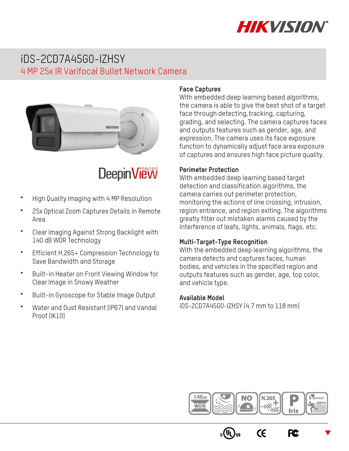

## iDS-2CD7A45G0-IZHSY 4 MP 25x IR Varifocal Bullet Network Camera



# **DeepinView**

- **•** High Quality Imaging with 4 MP Resolution
- **•** 25x Optical Zoom Captures Details in Remote Area
- **•** Clear Imaging Against Strong Backlight with 140 dB WDR Technology
- **•** Efficient H.265+ Compression Technology to Save Bandwidth and Storage
- **•** Built-in Heater on Front Viewing Window for Clear Image in Snowy Weather
- **•** Built-in Gyroscope for Stable Image Output
- **•** Water and Dust Resistant (IP67) and Vandal Proof (IK10)

#### **Face Captures**

With embedded deep learning based algorithms, the camera is able to give the best shot of a target face through detecting, tracking, capturing, grading, and selecting. The camera captures faces and outputs features such as gender, age, and expression. The camera uses its face exposure function to dynamically adjust face area exposure of captures and ensures high face picture quality.

#### **Perimeter Protection**

With embedded deep learning based target detection and classification algorithms, the camera carries out perimeter protection, monitoring the actions of line crossing, intrusion, region entrance, and region exiting. The algorithms greatly filter out mistaken alarms caused by the interference of leafs, lights, animals, flags, etc.

#### **Multi-Target-Type Recognition**

With the embedded deep learning algorithms, the camera detects and captures faces, human bodies, and vehicles in the specified region and outputs features such as gender, age, top color, and vehicle type.

#### **Available Model**

iDS-2CD7A45G0-IZHSY (4.7 mm to 118 mm)



 $\epsilon$ 

FC.

 $\blacktriangledown$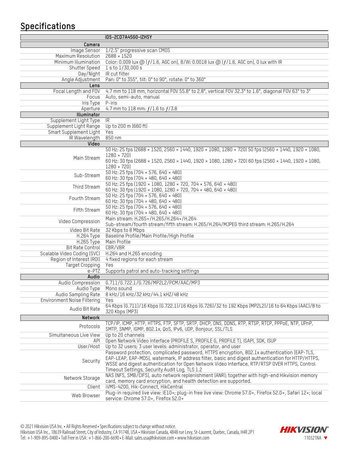## **Specifications**

| iDS-2CD7A45G0-IZHSY         |                                                                                                                                                                                                    |  |  |  |
|-----------------------------|----------------------------------------------------------------------------------------------------------------------------------------------------------------------------------------------------|--|--|--|
| Camera                      |                                                                                                                                                                                                    |  |  |  |
| Image Sensor                | 1/2.5" progressive scan CM0S                                                                                                                                                                       |  |  |  |
| Maximum Resolution          | $2688 \times 1520$                                                                                                                                                                                 |  |  |  |
| Minimum Illumination        | Color: 0.009 lux @ (f/1.6, AGC on), B/W: 0.0018 lux @ (f/1.6, AGC on), 0 lux with IR                                                                                                               |  |  |  |
| Shutter Speed               | 1 s to 1/30,000 s                                                                                                                                                                                  |  |  |  |
|                             | Day/Night R cut filter                                                                                                                                                                             |  |  |  |
| Angle Adjustment            | Pan: 0° to 355°, tilt: 0° to 90°, rotate: 0° to 360°                                                                                                                                               |  |  |  |
| Lens                        |                                                                                                                                                                                                    |  |  |  |
| Focal Length and FOV        | 4.7 mm to 118 mm, horizontal FOV 55.8° to 2.8°, vertical FOV 32.3° to 1.6°, diagonal FOV 63° to 3°                                                                                                 |  |  |  |
| Focus                       | Auto, semi-auto, manual                                                                                                                                                                            |  |  |  |
| Iris Type                   | P-iris                                                                                                                                                                                             |  |  |  |
| Aperture                    | 4.7 mm to 118 mm: $f/1.6$ to $f/3.8$                                                                                                                                                               |  |  |  |
| Illuminator                 |                                                                                                                                                                                                    |  |  |  |
| Supplement Light Type       | IR.                                                                                                                                                                                                |  |  |  |
| Supplement Light Range      | Up to 200 m (660 ft)                                                                                                                                                                               |  |  |  |
| Smart Supplement Light      | Yes                                                                                                                                                                                                |  |  |  |
| IR Wavelength               | 850 nm                                                                                                                                                                                             |  |  |  |
| Video                       |                                                                                                                                                                                                    |  |  |  |
|                             | 50 Hz: 25 fps (2688 × 1520, 2560 × 1440, 1920 × 1080, 1280 × 720) 50 fps (2560 × 1440, 1920 × 1080,<br>$1280 \times 720$                                                                           |  |  |  |
| Main Stream                 | 60 Hz: 30 fps (2688 × 1520, 2560 × 1440, 1920 × 1080, 1280 × 720) 60 fps (2560 × 1440, 1920 × 1080,                                                                                                |  |  |  |
|                             | $1280 \times 720$                                                                                                                                                                                  |  |  |  |
|                             | 50 Hz: 25 fps (704 × 576, 640 × 480)                                                                                                                                                               |  |  |  |
| Sub-Stream                  | 60 Hz: 30 fps (704 × 480, 640 × 480)                                                                                                                                                               |  |  |  |
|                             | 50 Hz: 25 fps (1920 × 1080, 1280 × 720, 704 × 576, 640 × 480)                                                                                                                                      |  |  |  |
| Third Stream                | 60 Hz: 30 fps (1920 × 1080, 1280 × 720, 704 × 480, 640 × 480)                                                                                                                                      |  |  |  |
|                             | 50 Hz: 25 fps (704 × 576, 640 × 480)                                                                                                                                                               |  |  |  |
| Fourth Stream               | 60 Hz: 30 fps (704 × 480, 640 × 480)                                                                                                                                                               |  |  |  |
|                             | 50 Hz: 25 fps (704 × 576, 640 × 480)                                                                                                                                                               |  |  |  |
| Fifth Stream                | 60 Hz: 30 fps (704 × 480, 640 × 480)                                                                                                                                                               |  |  |  |
| Video Compression           | Main stream: H.265+/H.265/H.264+/H.264                                                                                                                                                             |  |  |  |
|                             | Sub-stream/fourth stream/fifth stream: H.265/H.264/MJPEG third stream: H.265/H.264                                                                                                                 |  |  |  |
| Video Bit Rate              | 32 Kbps to 8 Mbps                                                                                                                                                                                  |  |  |  |
| H.264 Type                  | Baseline Profile/Main Profile/High Profile                                                                                                                                                         |  |  |  |
| H.265 Type                  | Main Profile                                                                                                                                                                                       |  |  |  |
| Bit Rate Control            | CBR/VBR                                                                                                                                                                                            |  |  |  |
| Scalable Video Coding (SVC) | H.264 and H.265 encoding                                                                                                                                                                           |  |  |  |
| Region of Interest (ROI)    | 4 fixed regions for each stream                                                                                                                                                                    |  |  |  |
| <b>Target Cropping</b>      | Yes                                                                                                                                                                                                |  |  |  |
| e-PTZ                       | Supports patrol and auto-tracking settings                                                                                                                                                         |  |  |  |
| Audio<br>Audio Compression  | G.711/G.722.1/G.726/MP2L2/PCM/AAC/MP3                                                                                                                                                              |  |  |  |
| Audio Type                  | Mono sound                                                                                                                                                                                         |  |  |  |
| Audio Sampling Rate         | 8 kHz/16 kHz/32 kHz/44.1 kHZ/48 kHz                                                                                                                                                                |  |  |  |
| Environment Noise Filtering | Yes                                                                                                                                                                                                |  |  |  |
|                             | 64 Kbps (6.711)/16 Kbps (6.722.1)/16 Kbps (6.726)/32 to 192 Kbps (MP2L2)/16 to 64 Kbps (AAC)/8 to                                                                                                  |  |  |  |
| Audio Bit Rate              | 320 Kbps (MP3)                                                                                                                                                                                     |  |  |  |
| Network                     |                                                                                                                                                                                                    |  |  |  |
| Protocols                   | TCP/IP, ICMP, HTTP, HTTPS, FTP, SFTP, SRTP, DHCP, DNS, DDNS, RTP, RTSP, RTCP, PPPoE, NTP, UPnP,                                                                                                    |  |  |  |
|                             | SMTP, SNMP, IGMP, 802.1x, QoS, IPv6, UDP, Bonjour, SSL/TLS                                                                                                                                         |  |  |  |
| Simultaneous Live View      | Up to 20 channels                                                                                                                                                                                  |  |  |  |
| API                         | Open Network Video Interface (PROFILE S, PROFILE G, PROFILE T), ISAPI, SDK, ISUP                                                                                                                   |  |  |  |
| User/Host                   | Up to 32 users; 3 user levels: administrator, operator, and user                                                                                                                                   |  |  |  |
|                             | Password protection, complicated password, HTTPS encryption, 802.1x authentication (EAP-TLS,                                                                                                       |  |  |  |
| Security                    | EAP-LEAP, EAP-MD5), watermark, IP address filter, basic and digest authentication for HTTP/HTTPS,<br>WSSE and digest authentication for Open Network Video Interface, RTP/RTSP OVER HTTPS, Control |  |  |  |
|                             | Timeout Settings, Security Audit Log, TLS 1.2                                                                                                                                                      |  |  |  |
|                             | NAS (NFS, SMB/CIFS), auto network replenishment (ANR); together with high-end Hikvision memory                                                                                                     |  |  |  |
| Network Storage             | card, memory card encryption, and health detection are supported.                                                                                                                                  |  |  |  |
| Client                      | iVMS-4200, Hik-Connect, HikCentral                                                                                                                                                                 |  |  |  |
|                             | Plug-in required live view: IE10+; plug-in free live view: Chrome 57.0+, Firefox 52.0+, Safari 12+; local                                                                                          |  |  |  |
| Web Browser                 | service: Chrome 57.0+, Firefox 52.0+                                                                                                                                                               |  |  |  |

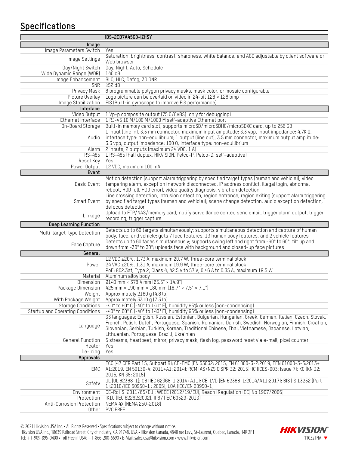## **Specifications**

|                                  | iDS-2CD7A45G0-IZHSY                                                                                                              |  |  |  |
|----------------------------------|----------------------------------------------------------------------------------------------------------------------------------|--|--|--|
| Image                            |                                                                                                                                  |  |  |  |
| Image Parameters Switch          | Yes                                                                                                                              |  |  |  |
|                                  | Saturation, brightness, contrast, sharpness, white balance, and AGC adjustable by client software or                             |  |  |  |
| Image Settings                   | Web browser                                                                                                                      |  |  |  |
| Day/Night Switch                 | Day, Night, Auto, Schedule                                                                                                       |  |  |  |
| Wide Dynamic Range (WDR)         | 140 dB                                                                                                                           |  |  |  |
| Image Enhancement                | BLC, HLC, Defog, 3D DNR                                                                                                          |  |  |  |
| SNR                              | 252 dB                                                                                                                           |  |  |  |
| Privacy Mask                     | 8 programmable polygon privacy masks, mask color, or mosaic configurable                                                         |  |  |  |
| Picture Overlay                  | Logo picture can be overlaid on video in 24-bit $128 \times 128$ bmp                                                             |  |  |  |
| Image Stabilization              | EIS (Built-in gyroscope to improve EIS performance)                                                                              |  |  |  |
| Interface                        |                                                                                                                                  |  |  |  |
| Video Output                     | 1 Vp-p composite output (75 0/CVBS) (only for debugging)                                                                         |  |  |  |
| Ethernet Interface               | 1 RJ-45 10 M/100 M/1000 M self-adaptive Ethernet port                                                                            |  |  |  |
| On-Board Storage                 | Built-in memory card slot, supports microSD/microSDHC/microSDXC card, up to 256 GB                                               |  |  |  |
|                                  | 1 input (line in), 3.5 mm connector, maximum input amplitude: 3.3 vpp, input impedance: 4.7K $\Omega$ ,                          |  |  |  |
| Audio                            | interface type: non-equilibrium; 1 output (line out), 3.5 mm connector, maximum output amplitude:                                |  |  |  |
| Alarm                            | 3.3 vpp, output impedance: 100 0, interface type: non-equilibrium<br>2 inputs, 2 outputs (maximum 24 VDC, 1 A)                   |  |  |  |
| RS-485                           | 1 RS-485 (half duplex, HIKVISION, Pelco-P, Pelco-D, self-adaptive)                                                               |  |  |  |
| Reset Key                        | Yes                                                                                                                              |  |  |  |
| Power Output                     | 12 VDC, maximum 100 mA                                                                                                           |  |  |  |
| Event                            |                                                                                                                                  |  |  |  |
|                                  | Motion detection (support alarm triggering by specified target types (human and vehicle)), video                                 |  |  |  |
| Basic Event                      | tampering alarm, exception (network disconnected, IP address conflict, illegal login, abnormal                                   |  |  |  |
|                                  | reboot, HDD full, HDD error), video quality diagnosis, vibration detection                                                       |  |  |  |
|                                  | Line crossing detection, intrusion detection, region entrance, region exiting (support alarm triggering                          |  |  |  |
| Smart Event                      | by specified target types (human and vehicle)); scene change detection, audio exception detection,                               |  |  |  |
|                                  | defocus detection                                                                                                                |  |  |  |
| Linkage                          | Upload to FTP/NAS/memory card, notify surveillance center, send email, trigger alarm output, trigger                             |  |  |  |
|                                  | recording, trigger capture                                                                                                       |  |  |  |
| <b>Deep Learning Function</b>    |                                                                                                                                  |  |  |  |
| Multi-target-type Detection      | Detects up to 60 targets simultaneously; supports simultaneous detection and capture of human                                    |  |  |  |
|                                  | body, face, and vehicle; gets 7 face features, 13 human body features, and 2 vehicle features                                    |  |  |  |
| Face Capture                     | Detects up to 60 faces simultaneously; supports swing left and right from -60° to 60°, tilt up and                               |  |  |  |
|                                  | down from -30° to 30°; uploads face with background and closed-up face pictures                                                  |  |  |  |
| General                          |                                                                                                                                  |  |  |  |
| Power                            | 12 VDC ±20%, 1.73 A, maximum 20.7 W, three-core terminal block<br>24 VAC ±20%, 1.31 A, maximum 19.9 W, three-core terminal block |  |  |  |
|                                  | PoE: 802.3at, Type 2, Class 4, 42.5 V to 57 V, 0.46 A to 0.35 A, maximum 19.5 W                                                  |  |  |  |
| Material                         | Aluminum alloy body                                                                                                              |  |  |  |
| Dimension                        | $Ø140$ mm × 378.4 mm $Ø5.5"$ × 14.9")                                                                                            |  |  |  |
| Package Dimension                | 425 mm $\times$ 190 mm $\times$ 180 mm (16.7" $\times$ 7.5" $\times$ 7.1")                                                       |  |  |  |
| Weight                           | Approximately 2160 g (4.8 lb)                                                                                                    |  |  |  |
| With Package Weight              | Approximately 3310 g (7.3 lb)                                                                                                    |  |  |  |
| <b>Storage Conditions</b>        | -40° to 60° C (-40° to 140° F), humidity 95% or less (non-condensing)                                                            |  |  |  |
| Startup and Operating Conditions | -40° to 60° C (-40° to 140° F), humidity 95% or less (non-condensing)                                                            |  |  |  |
|                                  | 33 languages: English, Russian, Estonian, Bulgarian, Hungarian, Greek, German, Italian, Czech, Slovak,                           |  |  |  |
| Language                         | French, Polish, Dutch, Portuguese, Spanish, Romanian, Danish, Swedish, Norwegian, Finnish, Croatian,                             |  |  |  |
|                                  | Slovenian, Serbian, Turkish, Korean, Traditional Chinese, Thai, Vietnamese, Japanese, Latvian,                                   |  |  |  |
|                                  | Lithuanian, Portuguese (Brazil), Ukrainian                                                                                       |  |  |  |
| <b>General Function</b>          | 5 streams, heartbeat, mirror, privacy mask, flash log, password reset via e-mail, pixel counter                                  |  |  |  |
| Heater                           | Yes                                                                                                                              |  |  |  |
| De-icing                         | Yes                                                                                                                              |  |  |  |
| Approvals                        |                                                                                                                                  |  |  |  |
|                                  | FCC (47 CFR Part 15, Subpart B); CE-EMC (EN 55032: 2015, EN 61000-3-2:2019, EEN 61000-3-3:2013+                                  |  |  |  |
| EMC                              | A1:2019, EN 50130-4: 2011+A1: 2014); RCM (AS/NZS CISPR 32: 2015); IC (ICES-003: Issue 7); KC (KN 32:<br>2015, KN 35: 2015)       |  |  |  |
|                                  | UL (UL 62368-1); CB (IEC 62368-1:2014+A11); CE-LVD (EN 62368-1:2014/A11:2017); BIS (IS 13252 (Part                               |  |  |  |
| Safety                           | 1):2010/IEC 60950-1:2005); LOA (IEC/EN 60950-1)                                                                                  |  |  |  |
| Environment                      | CE-RoHS (2011/65/EU); WEEE (2012/19/EU); Reach (Regulation (EC) No 1907/2006)                                                    |  |  |  |
| Protection                       | IK10 (IEC 62262:2002), IP67 (IEC 60529-2013)                                                                                     |  |  |  |
| Anti-Corrosion Protection        | NEMA 4X (NEMA 250-2018)                                                                                                          |  |  |  |
| Other                            | <b>PVC FREE</b>                                                                                                                  |  |  |  |
|                                  |                                                                                                                                  |  |  |  |